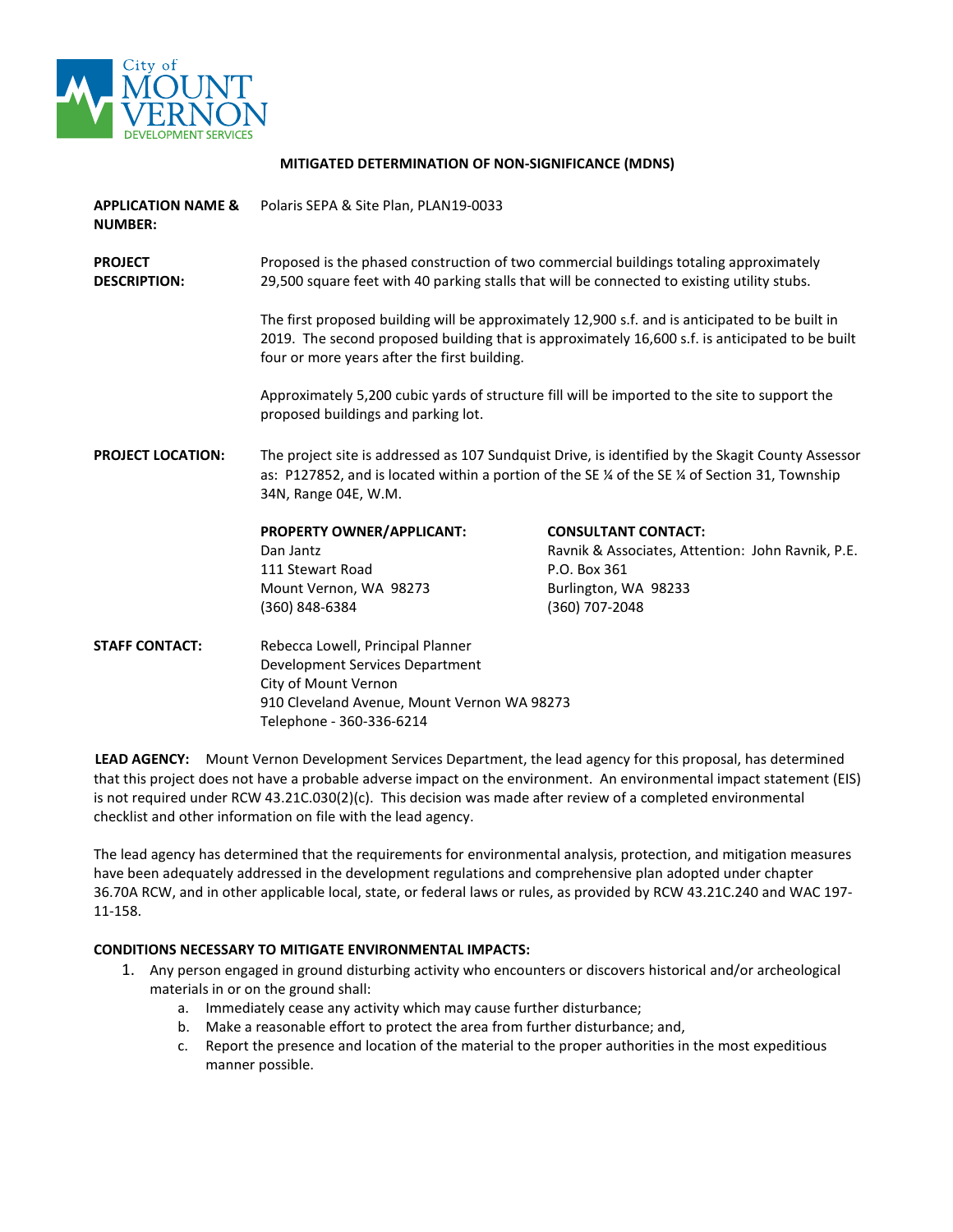

#### **MITIGATED DETERMINATION OF NON-SIGNIFICANCE (MDNS)**

| <b>APPLICATION NAME &amp;</b><br><b>NUMBER:</b> | Polaris SEPA & Site Plan, PLAN19-0033                                                                                                                                                                                                                                                                                                                                                                                                                                                                                                                                               |                                                   |  |
|-------------------------------------------------|-------------------------------------------------------------------------------------------------------------------------------------------------------------------------------------------------------------------------------------------------------------------------------------------------------------------------------------------------------------------------------------------------------------------------------------------------------------------------------------------------------------------------------------------------------------------------------------|---------------------------------------------------|--|
| <b>PROJECT</b><br><b>DESCRIPTION:</b>           | Proposed is the phased construction of two commercial buildings totaling approximately<br>29,500 square feet with 40 parking stalls that will be connected to existing utility stubs.<br>The first proposed building will be approximately 12,900 s.f. and is anticipated to be built in<br>2019. The second proposed building that is approximately 16,600 s.f. is anticipated to be built<br>four or more years after the first building.<br>Approximately 5,200 cubic yards of structure fill will be imported to the site to support the<br>proposed buildings and parking lot. |                                                   |  |
|                                                 |                                                                                                                                                                                                                                                                                                                                                                                                                                                                                                                                                                                     |                                                   |  |
|                                                 |                                                                                                                                                                                                                                                                                                                                                                                                                                                                                                                                                                                     |                                                   |  |
| <b>PROJECT LOCATION:</b>                        | The project site is addressed as 107 Sundquist Drive, is identified by the Skagit County Assessor<br>as: P127852, and is located within a portion of the SE % of the SE % of Section 31, Township<br>34N, Range 04E, W.M.                                                                                                                                                                                                                                                                                                                                                           |                                                   |  |
|                                                 | PROPERTY OWNER/APPLICANT:                                                                                                                                                                                                                                                                                                                                                                                                                                                                                                                                                           | <b>CONSULTANT CONTACT:</b>                        |  |
|                                                 | Dan Jantz                                                                                                                                                                                                                                                                                                                                                                                                                                                                                                                                                                           | Ravnik & Associates, Attention: John Ravnik, P.E. |  |
|                                                 | 111 Stewart Road                                                                                                                                                                                                                                                                                                                                                                                                                                                                                                                                                                    | P.O. Box 361                                      |  |
|                                                 | Mount Vernon, WA 98273                                                                                                                                                                                                                                                                                                                                                                                                                                                                                                                                                              | Burlington, WA 98233                              |  |
|                                                 | (360) 848-6384                                                                                                                                                                                                                                                                                                                                                                                                                                                                                                                                                                      | (360) 707-2048                                    |  |
| <b>STAFF CONTACT:</b>                           | Rebecca Lowell, Principal Planner<br>Development Services Department<br>City of Mount Vernon<br>910 Cleveland Avenue, Mount Vernon WA 98273<br>Telephone - 360-336-6214                                                                                                                                                                                                                                                                                                                                                                                                             |                                                   |  |

**LEAD AGENCY:** Mount Vernon Development Services Department, the lead agency for this proposal, has determined that this project does not have a probable adverse impact on the environment. An environmental impact statement (EIS) is not required under RCW 43.21C.030(2)(c). This decision was made after review of a completed environmental checklist and other information on file with the lead agency.

The lead agency has determined that the requirements for environmental analysis, protection, and mitigation measures have been adequately addressed in the development regulations and comprehensive plan adopted under chapter 36.70A RCW, and in other applicable local, state, or federal laws or rules, as provided by RCW 43.21C.240 and WAC 197- 11-158.

#### **CONDITIONS NECESSARY TO MITIGATE ENVIRONMENTAL IMPACTS:**

- 1. Any person engaged in ground disturbing activity who encounters or discovers historical and/or archeological materials in or on the ground shall:
	- a. Immediately cease any activity which may cause further disturbance;
	- b. Make a reasonable effort to protect the area from further disturbance; and,
	- c. Report the presence and location of the material to the proper authorities in the most expeditious manner possible.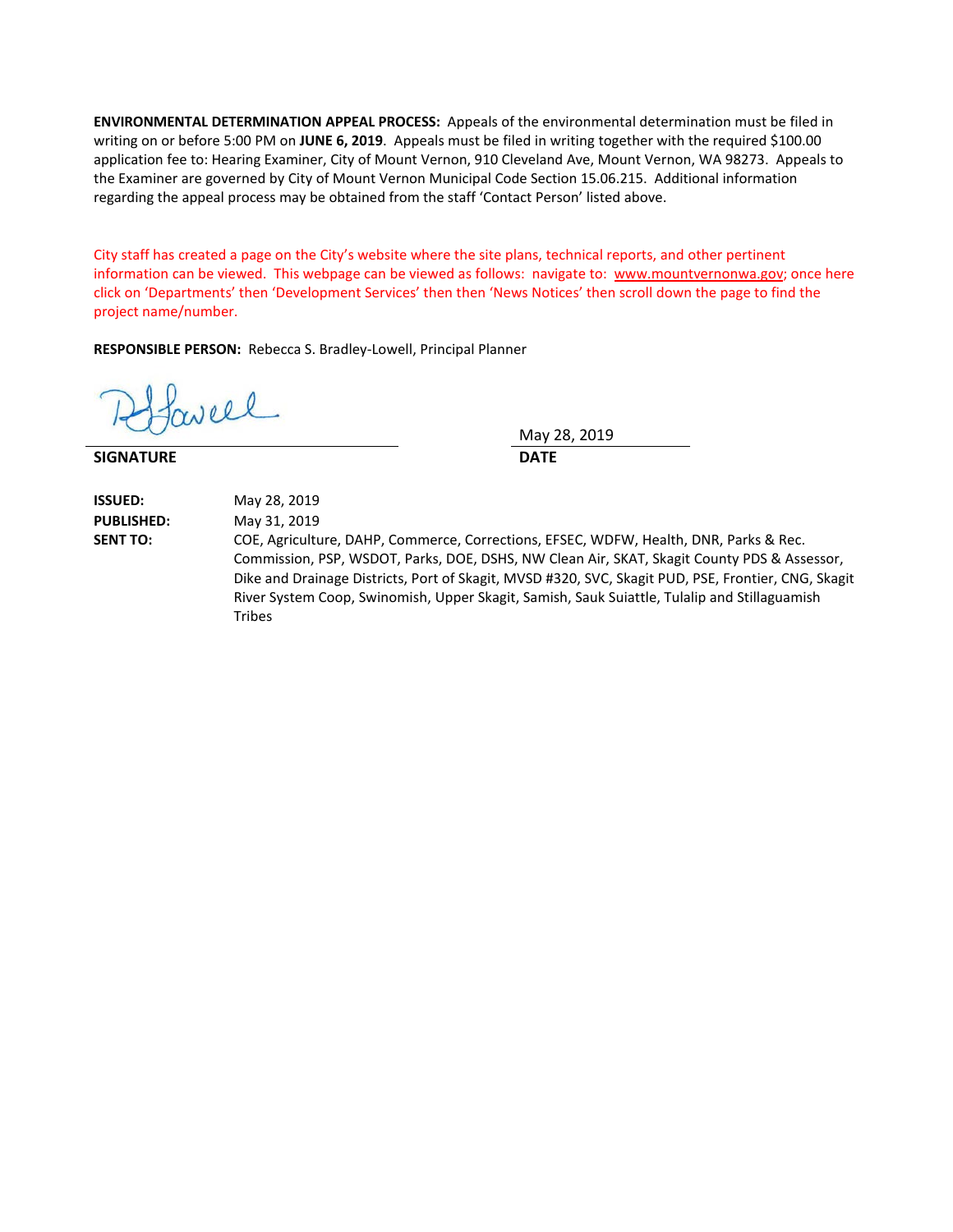**ENVIRONMENTAL DETERMINATION APPEAL PROCESS:** Appeals of the environmental determination must be filed in writing on or before 5:00 PM on **JUNE 6, 2019**. Appeals must be filed in writing together with the required \$100.00 application fee to: Hearing Examiner, City of Mount Vernon, 910 Cleveland Ave, Mount Vernon, WA 98273. Appeals to the Examiner are governed by City of Mount Vernon Municipal Code Section 15.06.215. Additional information regarding the appeal process may be obtained from the staff 'Contact Person' listed above.

City staff has created a page on the City's website where the site plans, technical reports, and other pertinent information can be viewed. This webpage can be viewed as follows: navigate to: [www.mountvernonwa.gov;](http://www.mountvernonwa.gov/) once here click on 'Departments' then 'Development Services' then then 'News Notices' then scroll down the page to find the project name/number.

**RESPONSIBLE PERSON:** Rebecca S. Bradley-Lowell, Principal Planner

well

**SIGNATURE DATE**

May 28, 2019

**ISSUED:** May 28, 2019 **PUBLISHED:** May 31, 2019

**SENT TO:** COE, Agriculture, DAHP, Commerce, Corrections, EFSEC, WDFW, Health, DNR, Parks & Rec. Commission, PSP, WSDOT, Parks, DOE, DSHS, NW Clean Air, SKAT, Skagit County PDS & Assessor, Dike and Drainage Districts, Port of Skagit, MVSD #320, SVC, Skagit PUD, PSE, Frontier, CNG, Skagit River System Coop, Swinomish, Upper Skagit, Samish, Sauk Suiattle, Tulalip and Stillaguamish Tribes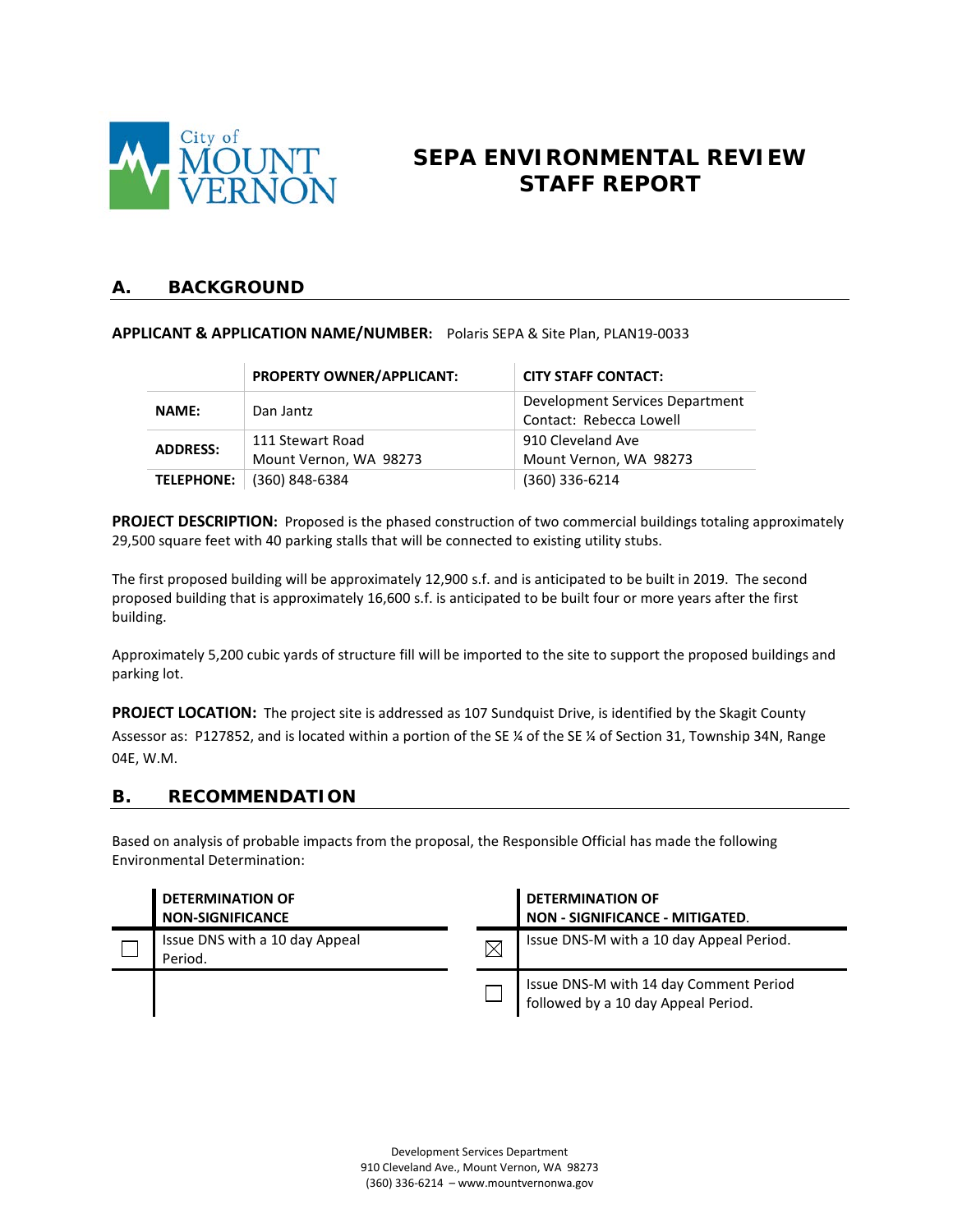

# **SEPA ENVIRONMENTAL REVIEW STAFF REPORT**

# **A. BACKGROUND**

### **APPLICANT & APPLICATION NAME/NUMBER:** Polaris SEPA & Site Plan, PLAN19-0033

|                   | PROPERTY OWNER/APPLICANT:                  | <b>CITY STAFF CONTACT:</b>                                 |  |
|-------------------|--------------------------------------------|------------------------------------------------------------|--|
| <b>NAME:</b>      | Dan Jantz                                  | Development Services Department<br>Contact: Rebecca Lowell |  |
| <b>ADDRESS:</b>   | 111 Stewart Road<br>Mount Vernon, WA 98273 | 910 Cleveland Ave<br>Mount Vernon, WA 98273                |  |
| <b>TELEPHONE:</b> | (360) 848-6384                             | (360) 336-6214                                             |  |

**PROJECT DESCRIPTION:** Proposed is the phased construction of two commercial buildings totaling approximately 29,500 square feet with 40 parking stalls that will be connected to existing utility stubs.

The first proposed building will be approximately 12,900 s.f. and is anticipated to be built in 2019. The second proposed building that is approximately 16,600 s.f. is anticipated to be built four or more years after the first building.

Approximately 5,200 cubic yards of structure fill will be imported to the site to support the proposed buildings and parking lot.

**PROJECT LOCATION:** The project site is addressed as 107 Sundquist Drive, is identified by the Skagit County Assessor as: P127852, and is located within a portion of the SE ¼ of the SE ¼ of Section 31, Township 34N, Range 04E, W.M.

### **B. RECOMMENDATION**

Based on analysis of probable impacts from the proposal, the Responsible Official has made the following Environmental Determination:

| <b>DETERMINATION OF</b><br><b>NON-SIGNIFICANCE</b> |             | <b>DETERMINATION OF</b><br>NON - SIGNIFICANCE - MITIGATED.                    |
|----------------------------------------------------|-------------|-------------------------------------------------------------------------------|
| Issue DNS with a 10 day Appeal<br>Period.          | $\boxtimes$ | Issue DNS-M with a 10 day Appeal Period.                                      |
|                                                    |             | Issue DNS-M with 14 day Comment Period<br>followed by a 10 day Appeal Period. |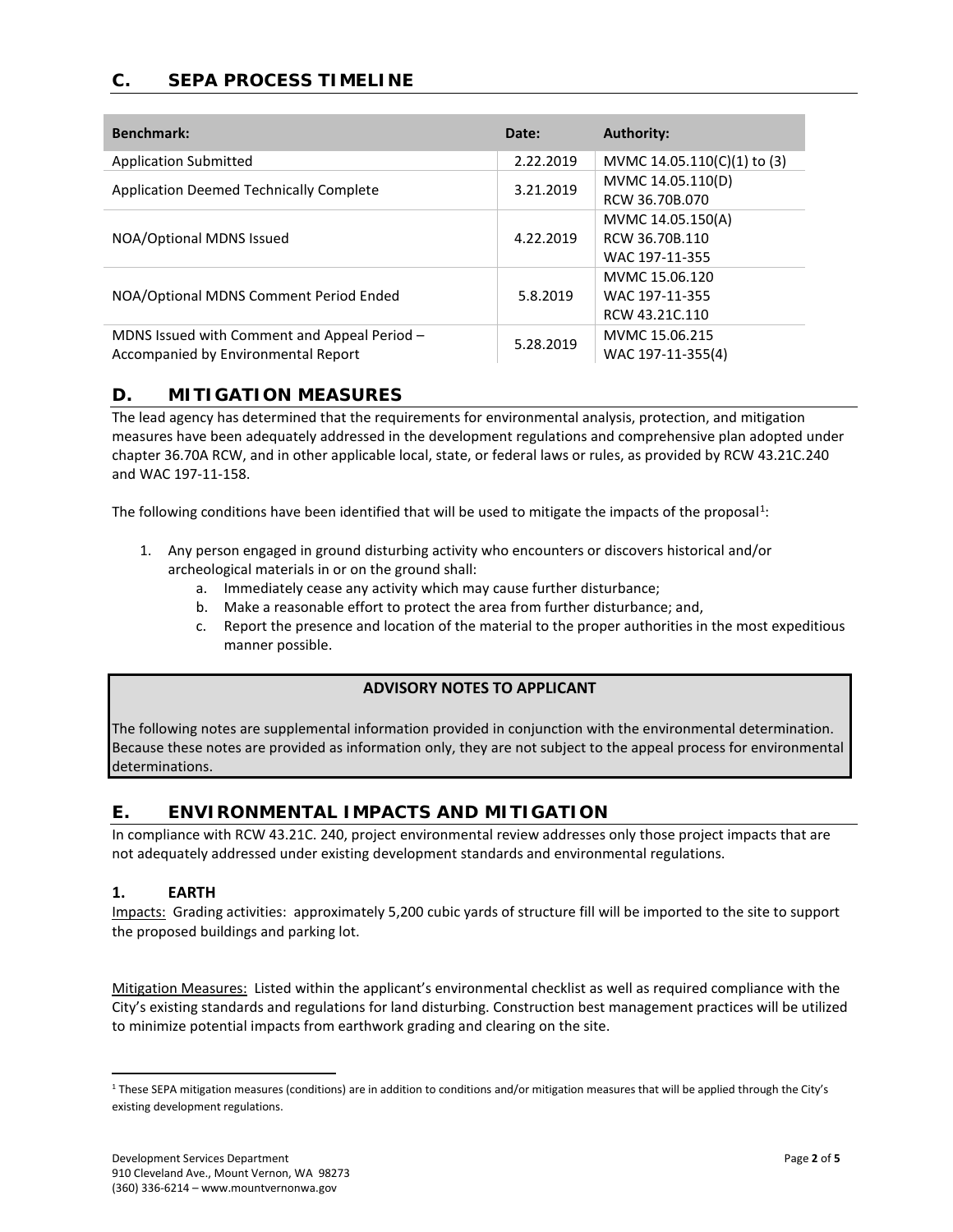# **C. SEPA PROCESS TIMELINE**

| <b>Benchmark:</b>                              | Date:     | <b>Authority:</b>           |
|------------------------------------------------|-----------|-----------------------------|
| <b>Application Submitted</b>                   | 2.22.2019 | MVMC 14.05.110(C)(1) to (3) |
| <b>Application Deemed Technically Complete</b> | 3.21.2019 | MVMC 14.05.110(D)           |
|                                                |           | RCW 36.70B.070              |
|                                                |           | MVMC 14.05.150(A)           |
| NOA/Optional MDNS Issued                       | 4.22.2019 | RCW 36.70B.110              |
|                                                |           | WAC 197-11-355              |
|                                                | 5.8.2019  | MVMC 15.06.120              |
| NOA/Optional MDNS Comment Period Ended         |           | WAC 197-11-355              |
|                                                |           | RCW 43.21C.110              |
| MDNS Issued with Comment and Appeal Period -   | 5.28.2019 | MVMC 15.06.215              |
| Accompanied by Environmental Report            |           | WAC 197-11-355(4)           |

### **D. MITIGATION MEASURES**

The lead agency has determined that the requirements for environmental analysis, protection, and mitigation measures have been adequately addressed in the development regulations and comprehensive plan adopted under chapter 36.70A RCW, and in other applicable local, state, or federal laws or rules, as provided by RCW 43.21C.240 and WAC 197-11-158.

The following conditions have been identified that will be used to mitigate the impacts of the proposal<sup>[1](#page-3-0)</sup>:

- 1. Any person engaged in ground disturbing activity who encounters or discovers historical and/or archeological materials in or on the ground shall:
	- a. Immediately cease any activity which may cause further disturbance;
	- b. Make a reasonable effort to protect the area from further disturbance; and,
	- c. Report the presence and location of the material to the proper authorities in the most expeditious manner possible.

### **ADVISORY NOTES TO APPLICANT**

The following notes are supplemental information provided in conjunction with the environmental determination. Because these notes are provided as information only, they are not subject to the appeal process for environmental determinations.

# **E. ENVIRONMENTAL IMPACTS AND MITIGATION**

In compliance with RCW 43.21C. 240, project environmental review addresses only those project impacts that are not adequately addressed under existing development standards and environmental regulations.

#### **1. EARTH**

Impacts: Grading activities: approximately 5,200 cubic yards of structure fill will be imported to the site to support the proposed buildings and parking lot.

Mitigation Measures: Listed within the applicant's environmental checklist as well as required compliance with the City's existing standards and regulations for land disturbing. Construction best management practices will be utilized to minimize potential impacts from earthwork grading and clearing on the site.

<span id="page-3-0"></span><sup>&</sup>lt;sup>1</sup> These SEPA mitigation measures (conditions) are in addition to conditions and/or mitigation measures that will be applied through the City's existing development regulations.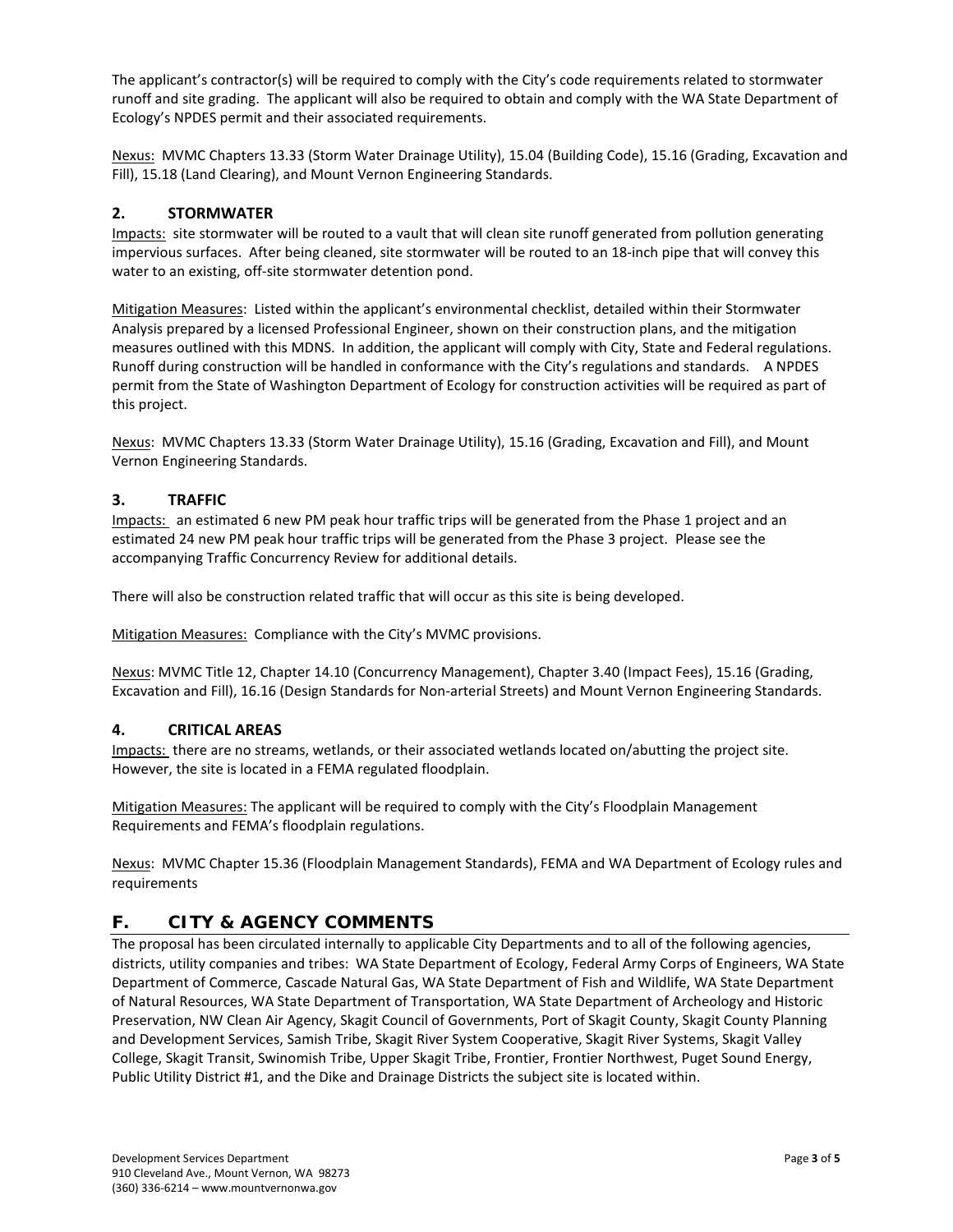The applicant's contractor(s) will be required to comply with the City's code requirements related to stormwater runoff and site grading. The applicant will also be required to obtain and comply with the WA State Department of Ecology's NPDES permit and their associated requirements.

Nexus: MVMC Chapters 13.33 (Storm Water Drainage Utility), 15.04 (Building Code), 15.16 (Grading, Excavation and Fill), 15.18 (Land Clearing), and Mount Vernon Engineering Standards.

### **2. STORMWATER**

Impacts: site stormwater will be routed to a vault that will clean site runoff generated from pollution generating impervious surfaces. After being cleaned, site stormwater will be routed to an 18-inch pipe that will convey this water to an existing, off-site stormwater detention pond.

Mitigation Measures: Listed within the applicant's environmental checklist, detailed within their Stormwater Analysis prepared by a licensed Professional Engineer, shown on their construction plans, and the mitigation measures outlined with this MDNS. In addition, the applicant will comply with City, State and Federal regulations. Runoff during construction will be handled in conformance with the City's regulations and standards. A NPDES permit from the State of Washington Department of Ecology for construction activities will be required as part of this project.

Nexus: MVMC Chapters 13.33 (Storm Water Drainage Utility), 15.16 (Grading, Excavation and Fill), and Mount Vernon Engineering Standards.

### **3. TRAFFIC**

Impacts: an estimated 6 new PM peak hour traffic trips will be generated from the Phase 1 project and an estimated 24 new PM peak hour traffic trips will be generated from the Phase 3 project. Please see the accompanying Traffic Concurrency Review for additional details.

There will also be construction related traffic that will occur as this site is being developed.

Mitigation Measures: Compliance with the City's MVMC provisions.

Nexus: MVMC Title 12, Chapter 14.10 (Concurrency Management), Chapter 3.40 (Impact Fees), 15.16 (Grading, Excavation and Fill), 16.16 (Design Standards for Non-arterial Streets) and Mount Vernon Engineering Standards.

#### **4. CRITICAL AREAS**

Impacts: there are no streams, wetlands, or their associated wetlands located on/abutting the project site. However, the site is located in a FEMA regulated floodplain.

Mitigation Measures: The applicant will be required to comply with the City's Floodplain Management Requirements and FEMA's floodplain regulations.

Nexus: MVMC Chapter 15.36 (Floodplain Management Standards), FEMA and WA Department of Ecology rules and requirements

## **F. CITY & AGENCY COMMENTS**

The proposal has been circulated internally to applicable City Departments and to all of the following agencies, districts, utility companies and tribes: WA State Department of Ecology, Federal Army Corps of Engineers, WA State Department of Commerce, Cascade Natural Gas, WA State Department of Fish and Wildlife, WA State Department of Natural Resources, WA State Department of Transportation, WA State Department of Archeology and Historic Preservation, NW Clean Air Agency, Skagit Council of Governments, Port of Skagit County, Skagit County Planning and Development Services, Samish Tribe, Skagit River System Cooperative, Skagit River Systems, Skagit Valley College, Skagit Transit, Swinomish Tribe, Upper Skagit Tribe, Frontier, Frontier Northwest, Puget Sound Energy, Public Utility District #1, and the Dike and Drainage Districts the subject site is located within.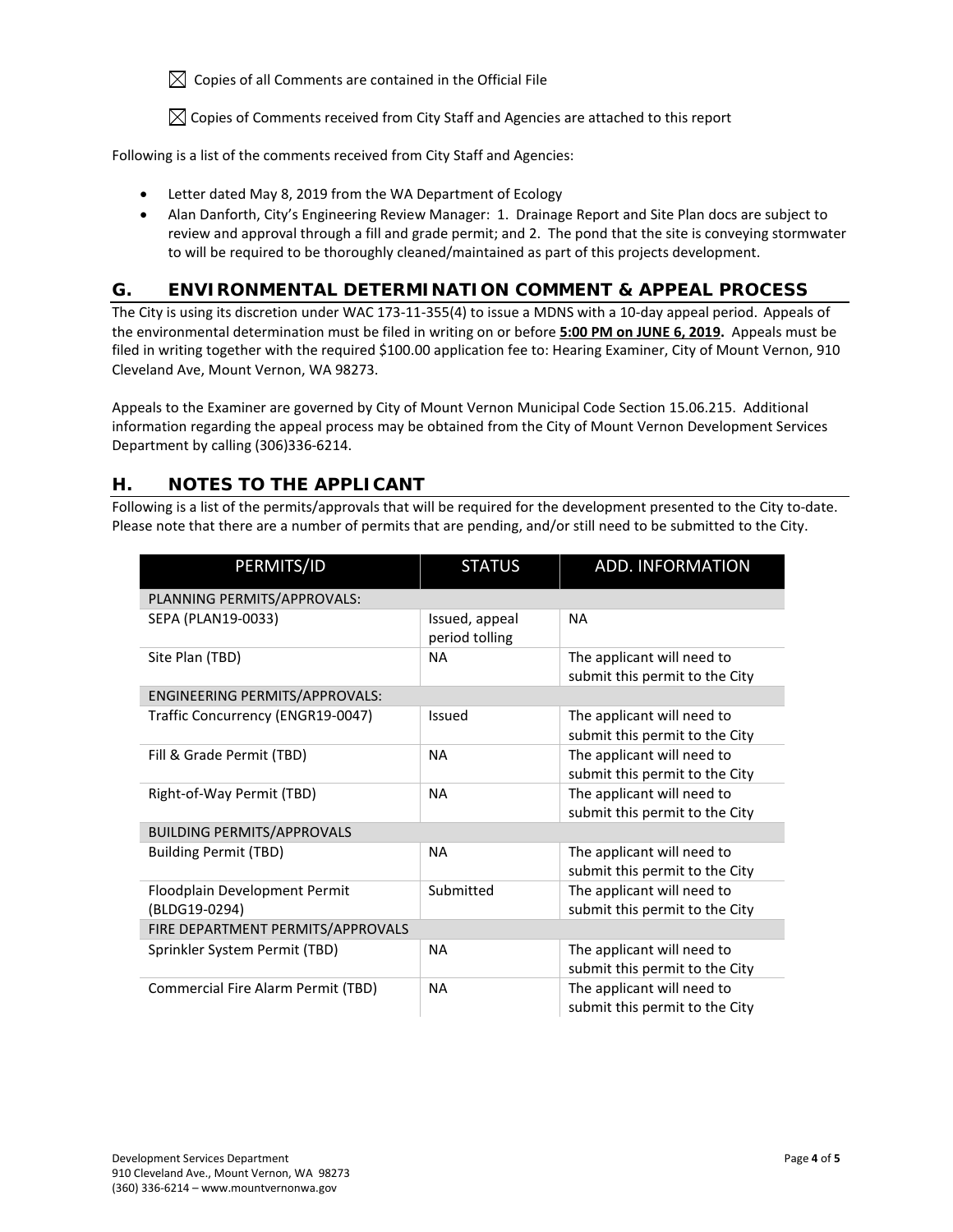$\boxtimes$  Copies of all Comments are contained in the Official File

 $\boxtimes$  Copies of Comments received from City Staff and Agencies are attached to this report

Following is a list of the comments received from City Staff and Agencies:

- Letter dated May 8, 2019 from the WA Department of Ecology
- Alan Danforth, City's Engineering Review Manager: 1. Drainage Report and Site Plan docs are subject to review and approval through a fill and grade permit; and 2. The pond that the site is conveying stormwater to will be required to be thoroughly cleaned/maintained as part of this projects development.

# **G. ENVIRONMENTAL DETERMINATION COMMENT & APPEAL PROCESS**

The City is using its discretion under WAC 173-11-355(4) to issue a MDNS with a 10-day appeal period.Appeals of the environmental determination must be filed in writing on or before **5:00 PM on JUNE 6, 2019.** Appeals must be filed in writing together with the required \$100.00 application fee to: Hearing Examiner, City of Mount Vernon, 910 Cleveland Ave, Mount Vernon, WA 98273.

Appeals to the Examiner are governed by City of Mount Vernon Municipal Code Section 15.06.215. Additional information regarding the appeal process may be obtained from the City of Mount Vernon Development Services Department by calling (306)336-6214.

# **H. NOTES TO THE APPLICANT**

Following is a list of the permits/approvals that will be required for the development presented to the City to-date. Please note that there are a number of permits that are pending, and/or still need to be submitted to the City.

| PERMITS/ID                                     | <b>STATUS</b>                    | <b>ADD. INFORMATION</b>                                      |  |  |  |  |
|------------------------------------------------|----------------------------------|--------------------------------------------------------------|--|--|--|--|
| PLANNING PERMITS/APPROVALS:                    |                                  |                                                              |  |  |  |  |
| SEPA (PLAN19-0033)                             | Issued, appeal<br>period tolling | <b>NA</b>                                                    |  |  |  |  |
| Site Plan (TBD)                                | <b>NA</b>                        | The applicant will need to<br>submit this permit to the City |  |  |  |  |
| <b>ENGINEERING PERMITS/APPROVALS:</b>          |                                  |                                                              |  |  |  |  |
| Traffic Concurrency (ENGR19-0047)              | Issued                           | The applicant will need to<br>submit this permit to the City |  |  |  |  |
| Fill & Grade Permit (TBD)                      | <b>NA</b>                        | The applicant will need to<br>submit this permit to the City |  |  |  |  |
| Right-of-Way Permit (TBD)                      | <b>NA</b>                        | The applicant will need to<br>submit this permit to the City |  |  |  |  |
| <b>BUILDING PERMITS/APPROVALS</b>              |                                  |                                                              |  |  |  |  |
| <b>Building Permit (TBD)</b>                   | <b>NA</b>                        | The applicant will need to<br>submit this permit to the City |  |  |  |  |
| Floodplain Development Permit<br>(BLDG19-0294) | Submitted                        | The applicant will need to<br>submit this permit to the City |  |  |  |  |
| FIRE DEPARTMENT PERMITS/APPROVALS              |                                  |                                                              |  |  |  |  |
| Sprinkler System Permit (TBD)                  | <b>NA</b>                        | The applicant will need to<br>submit this permit to the City |  |  |  |  |
| Commercial Fire Alarm Permit (TBD)             | <b>NA</b>                        | The applicant will need to<br>submit this permit to the City |  |  |  |  |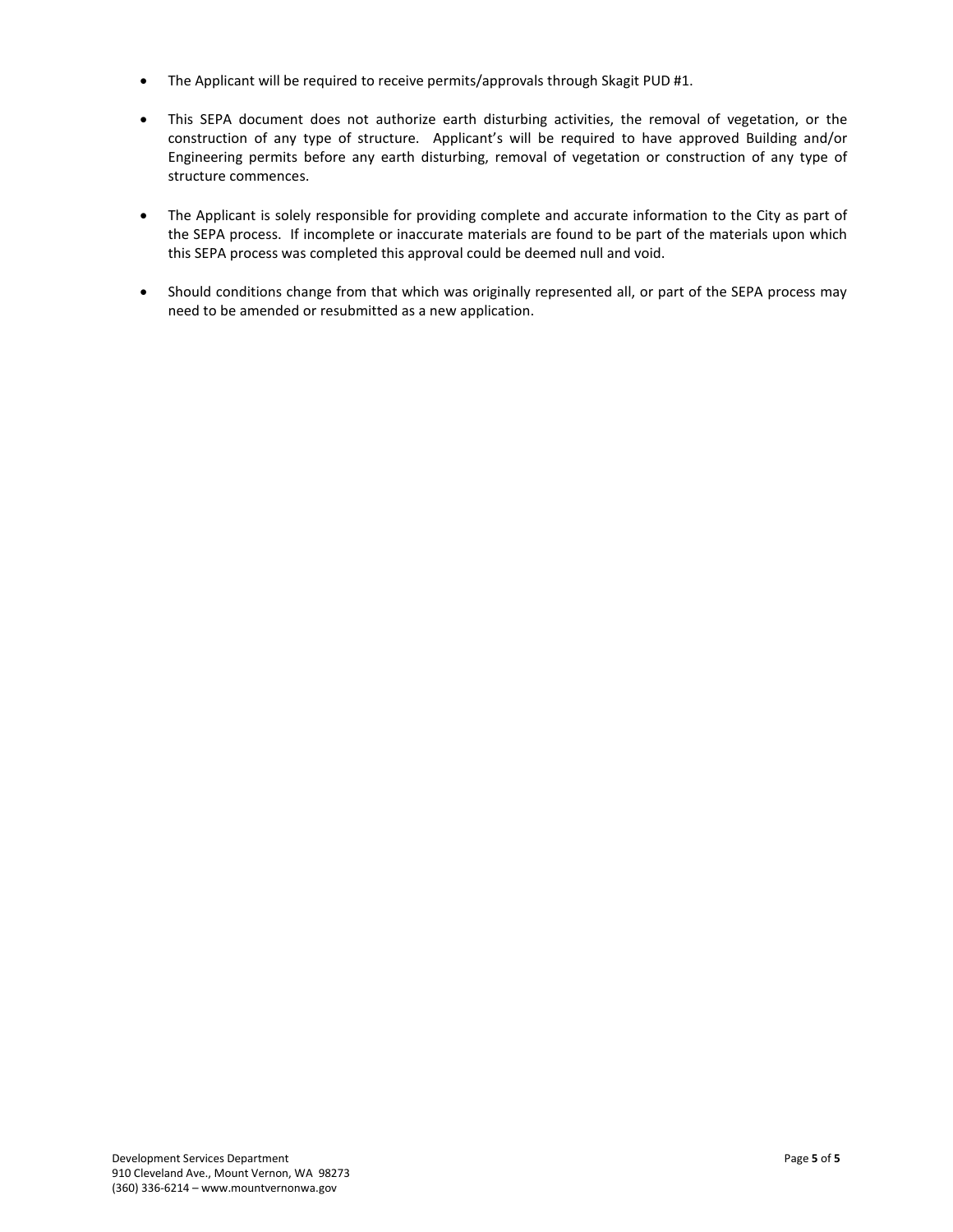- The Applicant will be required to receive permits/approvals through Skagit PUD #1.
- This SEPA document does not authorize earth disturbing activities, the removal of vegetation, or the construction of any type of structure. Applicant's will be required to have approved Building and/or Engineering permits before any earth disturbing, removal of vegetation or construction of any type of structure commences.
- The Applicant is solely responsible for providing complete and accurate information to the City as part of the SEPA process. If incomplete or inaccurate materials are found to be part of the materials upon which this SEPA process was completed this approval could be deemed null and void.
- Should conditions change from that which was originally represented all, or part of the SEPA process may need to be amended or resubmitted as a new application.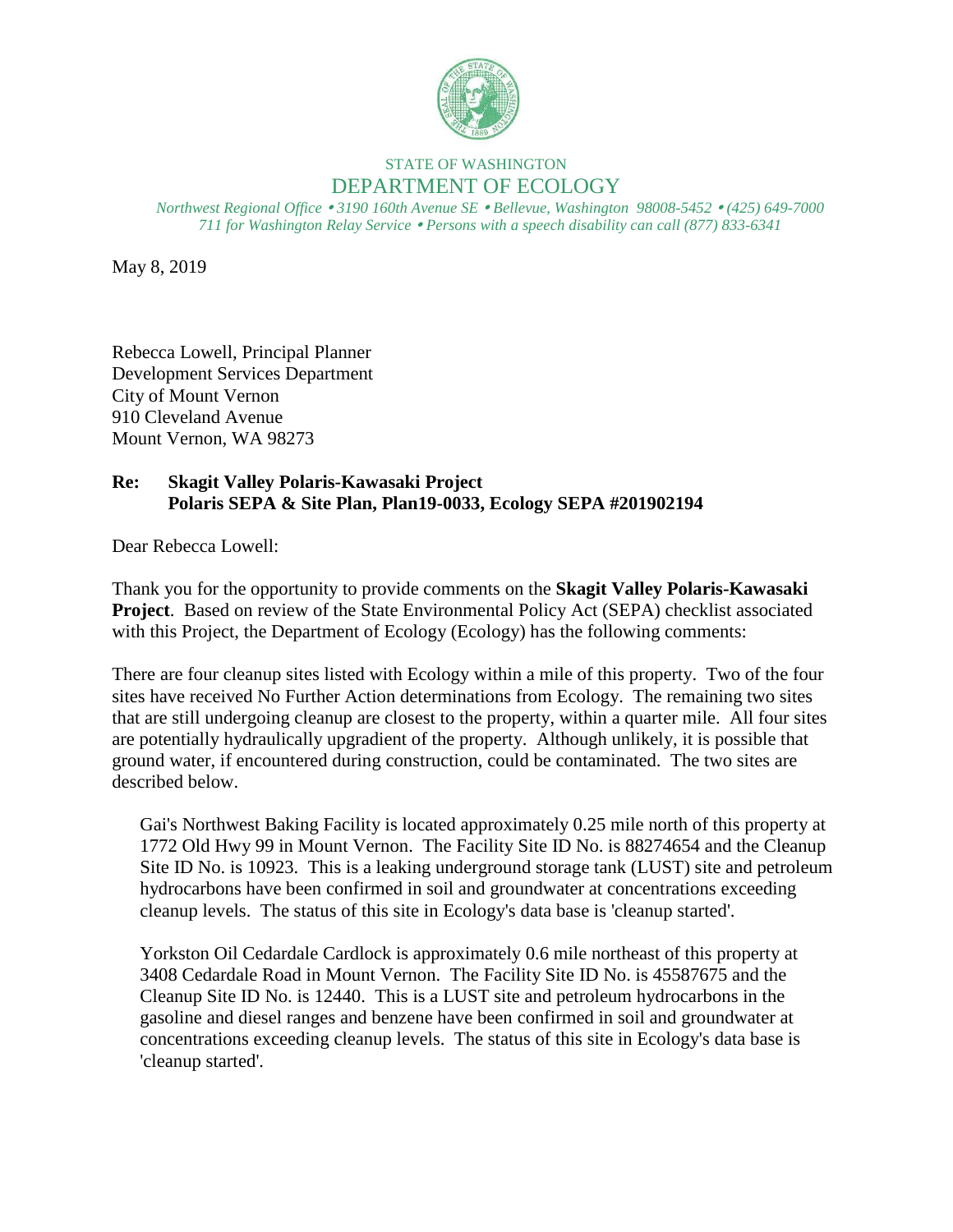

# STATE OF WASHINGTON DEPARTMENT OF ECOLOGY

*Northwest Regional Office 3190 160th Avenue SE Bellevue, Washington 98008-5452 (425) 649-7000 711 for Washington Relay Service Persons with a speech disability can call (877) 833-6341*

May 8, 2019

Rebecca Lowell, Principal Planner Development Services Department City of Mount Vernon 910 Cleveland Avenue Mount Vernon, WA 98273

# **Re: Skagit Valley Polaris-Kawasaki Project Polaris SEPA & Site Plan, Plan19-0033, Ecology SEPA #201902194**

Dear Rebecca Lowell:

Thank you for the opportunity to provide comments on the **Skagit Valley Polaris-Kawasaki Project**. Based on review of the State Environmental Policy Act (SEPA) checklist associated with this Project, the Department of Ecology (Ecology) has the following comments:

There are four cleanup sites listed with Ecology within a mile of this property. Two of the four sites have received No Further Action determinations from Ecology. The remaining two sites that are still undergoing cleanup are closest to the property, within a quarter mile. All four sites are potentially hydraulically upgradient of the property. Although unlikely, it is possible that ground water, if encountered during construction, could be contaminated. The two sites are described below.

Gai's Northwest Baking Facility is located approximately 0.25 mile north of this property at 1772 Old Hwy 99 in Mount Vernon. The Facility Site ID No. is 88274654 and the Cleanup Site ID No. is 10923. This is a leaking underground storage tank (LUST) site and petroleum hydrocarbons have been confirmed in soil and groundwater at concentrations exceeding cleanup levels. The status of this site in Ecology's data base is 'cleanup started'.

Yorkston Oil Cedardale Cardlock is approximately 0.6 mile northeast of this property at 3408 Cedardale Road in Mount Vernon. The Facility Site ID No. is 45587675 and the Cleanup Site ID No. is 12440. This is a LUST site and petroleum hydrocarbons in the gasoline and diesel ranges and benzene have been confirmed in soil and groundwater at concentrations exceeding cleanup levels. The status of this site in Ecology's data base is 'cleanup started'.